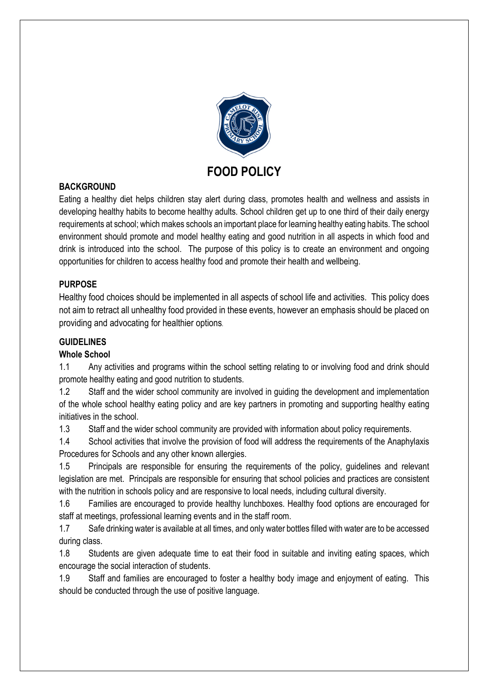

#### BACKGROUND

Eating a healthy diet helps children stay alert during class, promotes health and wellness and assists in developing healthy habits to become healthy adults. School children get up to one third of their daily energy requirements at school; which makes schools an important place for learning healthy eating habits. The school environment should promote and model healthy eating and good nutrition in all aspects in which food and drink is introduced into the school. The purpose of this policy is to create an environment and ongoing opportunities for children to access healthy food and promote their health and wellbeing.

#### PURPOSE

Healthy food choices should be implemented in all aspects of school life and activities. This policy does not aim to retract all unhealthy food provided in these events, however an emphasis should be placed on providing and advocating for healthier options.

#### **GUIDELINES**

#### Whole School

1.1 Any activities and programs within the school setting relating to or involving food and drink should promote healthy eating and good nutrition to students.

1.2 Staff and the wider school community are involved in guiding the development and implementation of the whole school healthy eating policy and are key partners in promoting and supporting healthy eating initiatives in the school.

1.3 Staff and the wider school community are provided with information about policy requirements.

1.4 School activities that involve the provision of food will address the requirements of the Anaphylaxis Procedures for Schools and any other known allergies.

1.5 Principals are responsible for ensuring the requirements of the policy, guidelines and relevant legislation are met. Principals are responsible for ensuring that school policies and practices are consistent with the nutrition in schools policy and are responsive to local needs, including cultural diversity.

1.6 Families are encouraged to provide healthy lunchboxes. Healthy food options are encouraged for staff at meetings, professional learning events and in the staff room.

1.7 Safe drinking water is available at all times, and only water bottles filled with water are to be accessed during class.

1.8 Students are given adequate time to eat their food in suitable and inviting eating spaces, which encourage the social interaction of students.

1.9 Staff and families are encouraged to foster a healthy body image and enjoyment of eating. This should be conducted through the use of positive language.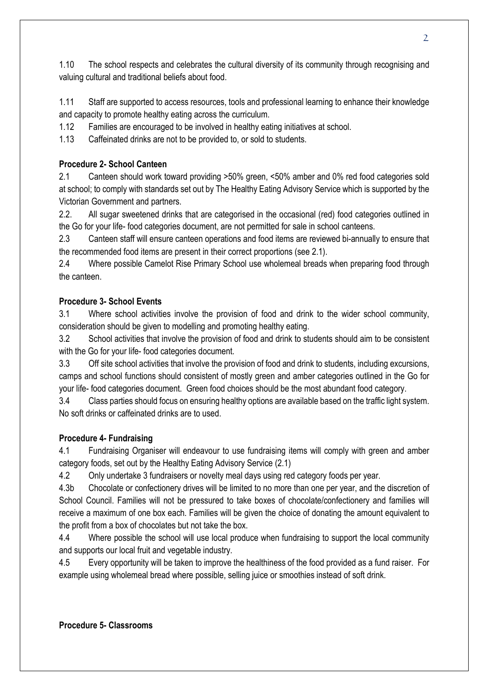1.10 The school respects and celebrates the cultural diversity of its community through recognising and valuing cultural and traditional beliefs about food.

1.11 Staff are supported to access resources, tools and professional learning to enhance their knowledge and capacity to promote healthy eating across the curriculum.

1.12 Families are encouraged to be involved in healthy eating initiatives at school.

1.13 Caffeinated drinks are not to be provided to, or sold to students.

# Procedure 2- School Canteen

2.1 Canteen should work toward providing >50% green, <50% amber and 0% red food categories sold at school; to comply with standards set out by The Healthy Eating Advisory Service which is supported by the Victorian Government and partners.

2.2. All sugar sweetened drinks that are categorised in the occasional (red) food categories outlined in the Go for your life- food categories document, are not permitted for sale in school canteens.

2.3 Canteen staff will ensure canteen operations and food items are reviewed bi-annually to ensure that the recommended food items are present in their correct proportions (see 2.1).

2.4 Where possible Camelot Rise Primary School use wholemeal breads when preparing food through the canteen.

## Procedure 3- School Events

3.1 Where school activities involve the provision of food and drink to the wider school community, consideration should be given to modelling and promoting healthy eating.

3.2 School activities that involve the provision of food and drink to students should aim to be consistent with the Go for your life- food categories document.

3.3 Off site school activities that involve the provision of food and drink to students, including excursions, camps and school functions should consistent of mostly green and amber categories outlined in the Go for your life- food categories document. Green food choices should be the most abundant food category.

3.4 Class parties should focus on ensuring healthy options are available based on the traffic light system. No soft drinks or caffeinated drinks are to used.

## Procedure 4- Fundraising

4.1 Fundraising Organiser will endeavour to use fundraising items will comply with green and amber category foods, set out by the Healthy Eating Advisory Service (2.1)

4.2 Only undertake 3 fundraisers or novelty meal days using red category foods per year.

4.3b Chocolate or confectionery drives will be limited to no more than one per year, and the discretion of School Council. Families will not be pressured to take boxes of chocolate/confectionery and families will receive a maximum of one box each. Families will be given the choice of donating the amount equivalent to the profit from a box of chocolates but not take the box.

4.4 Where possible the school will use local produce when fundraising to support the local community and supports our local fruit and vegetable industry.

4.5 Every opportunity will be taken to improve the healthiness of the food provided as a fund raiser. For example using wholemeal bread where possible, selling juice or smoothies instead of soft drink.